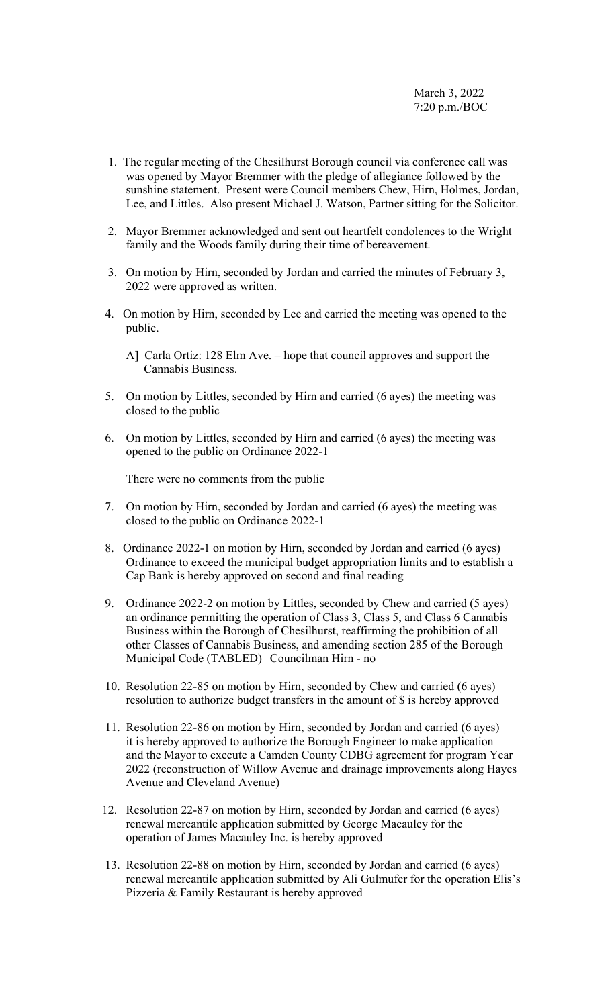- 1. The regular meeting of the Chesilhurst Borough council via conference call was was opened by Mayor Bremmer with the pledge of allegiance followed by the sunshine statement. Present were Council members Chew, Hirn, Holmes, Jordan, Lee, and Littles. Also present Michael J. Watson, Partner sitting for the Solicitor.
- 2. Mayor Bremmer acknowledged and sent out heartfelt condolences to the Wright family and the Woods family during their time of bereavement.
- 3. On motion by Hirn, seconded by Jordan and carried the minutes of February 3, 2022 were approved as written.
- 4. On motion by Hirn, seconded by Lee and carried the meeting was opened to the public.
	- A] Carla Ortiz: 128 Elm Ave. hope that council approves and support the Cannabis Business.
- 5. On motion by Littles, seconded by Hirn and carried (6 ayes) the meeting was closed to the public
- 6. On motion by Littles, seconded by Hirn and carried (6 ayes) the meeting was opened to the public on Ordinance 2022-1

There were no comments from the public

- 7. On motion by Hirn, seconded by Jordan and carried (6 ayes) the meeting was closed to the public on Ordinance 2022-1
- 8. Ordinance 2022-1 on motion by Hirn, seconded by Jordan and carried (6 ayes) Ordinance to exceed the municipal budget appropriation limits and to establish a Cap Bank is hereby approved on second and final reading
- 9. Ordinance 2022-2 on motion by Littles, seconded by Chew and carried (5 ayes) an ordinance permitting the operation of Class 3, Class 5, and Class 6 Cannabis Business within the Borough of Chesilhurst, reaffirming the prohibition of all other Classes of Cannabis Business, and amending section 285 of the Borough Municipal Code (TABLED) Councilman Hirn - no
- 10. Resolution 22-85 on motion by Hirn, seconded by Chew and carried (6 ayes) resolution to authorize budget transfers in the amount of \$ is hereby approved
- 11. Resolution 22-86 on motion by Hirn, seconded by Jordan and carried (6 ayes) it is hereby approved to authorize the Borough Engineer to make application and the Mayor to execute a Camden County CDBG agreement for program Year 2022 (reconstruction of Willow Avenue and drainage improvements along Hayes Avenue and Cleveland Avenue)
- 12. Resolution 22-87 on motion by Hirn, seconded by Jordan and carried (6 ayes) renewal mercantile application submitted by George Macauley for the operation of James Macauley Inc. is hereby approved
- 13. Resolution 22-88 on motion by Hirn, seconded by Jordan and carried (6 ayes) renewal mercantile application submitted by Ali Gulmufer for the operation Elis's Pizzeria & Family Restaurant is hereby approved